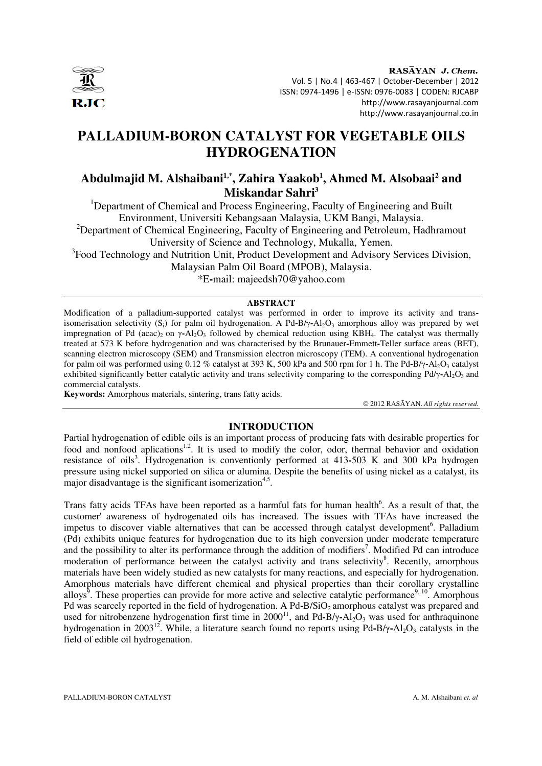

RASAYAN J. Chem. Vol. 5 | No.4 | 463-467 | October-December | 2012 ISSN: 0974-1496 | e-ISSN: 0976-0083 | CODEN: RJCABP http://www.rasayanjournal.com http://www.rasayanjournal.co.in

# **PALLADIUM-BORON CATALYST FOR VEGETABLE OILS HYDROGENATION**

## **Abdulmajid M. Alshaibani1,\*, Zahira Yaakob<sup>1</sup> , Ahmed M. Alsobaai<sup>2</sup> and Miskandar Sahri<sup>3</sup>**

<sup>1</sup>Department of Chemical and Process Engineering, Faculty of Engineering and Built Environment, Universiti Kebangsaan Malaysia, UKM Bangi, Malaysia.

<sup>2</sup>Department of Chemical Engineering, Faculty of Engineering and Petroleum, Hadhramout University of Science and Technology, Mukalla, Yemen.

<sup>3</sup> Food Technology and Nutrition Unit, Product Development and Advisory Services Division, Malaysian Palm Oil Board (MPOB), Malaysia.

\*E**-**mail: majeedsh70@yahoo.com

### **ABSTRACT**

Modification of a palladium**-**supported catalyst was performed in order to improve its activity and transisomerisation selectivity  $(S_i)$  for palm oil hydrogenation. A Pd-B/ $\gamma$ -Al<sub>2</sub>O<sub>3</sub> amorphous alloy was prepared by wet impregnation of Pd (acac)<sub>2</sub> on γ-Al<sub>2</sub>O<sub>3</sub> followed by chemical reduction using KBH<sub>4</sub>. The catalyst was thermally treated at 573 K before hydrogenation and was characterised by the Brunauer**-**Emmett**-**Teller surface areas (BET), scanning electron microscopy (SEM) and Transmission electron microscopy (TEM). A conventional hydrogenation for palm oil was performed using 0.12 % catalyst at 393 K, 500 kPa and 500 rpm for 1 h. The Pd-B/y-Al<sub>2</sub>O<sub>3</sub> catalyst exhibited significantly better catalytic activity and trans selectivity comparing to the corresponding Pd/γ-Al<sub>2</sub>O<sub>3</sub> and commercial catalysts.

**Keywords:** Amorphous materials, sintering, trans fatty acids.

© 2012 RASĀYAN. *All rights reserved.*

### **INTRODUCTION**

Partial hydrogenation of edible oils is an important process of producing fats with desirable properties for food and nonfood aplications<sup>1,2</sup>. It is used to modify the color, odor, thermal behavior and oxidation resistance of oils<sup>3</sup>. Hydrogenation is conventionly performed at 413-503 K and 300 kPa hydrogen pressure using nickel supported on silica or alumina. Despite the benefits of using nickel as a catalyst, its major disadvantage is the significant isomerization<sup>4,5</sup>.

Trans fatty acids TFAs have been reported as a harmful fats for human health<sup>6</sup>. As a result of that, the customer' awareness of hydrogenated oils has increased. The issues with TFAs have increased the impetus to discover viable alternatives that can be accessed through catalyst development<sup>6</sup>. Palladium (Pd) exhibits unique features for hydrogenation due to its high conversion under moderate temperature and the possibility to alter its performance through the addition of modifiers<sup>7</sup>. Modified Pd can introduce moderation of performance between the catalyst activity and trans selectivity<sup>8</sup>. Recently, amorphous materials have been widely studied as new catalysts for many reactions, and especially for hydrogenation. Amorphous materials have different chemical and physical properties than their corollary crystalline alloys<sup>9</sup>. These properties can provide for more active and selective catalytic performance<sup>9, 10</sup>. Amorphous Pd was scarcely reported in the field of hydrogenation. A Pd-B/SiO<sub>2</sub> amorphous catalyst was prepared and used for nitrobenzene hydrogenation first time in 2000<sup>11</sup>, and Pd-B/ $\gamma$ -Al<sub>2</sub>O<sub>3</sub> was used for anthraquinone hydrogenation in 2003<sup>12</sup>. While, a literature search found no reports using Pd-B/γ-Al<sub>2</sub>O<sub>3</sub> catalysts in the field of edible oil hydrogenation.

PALLADIUM-BORON CATALYST **A. M. Alshaibani** *et. al*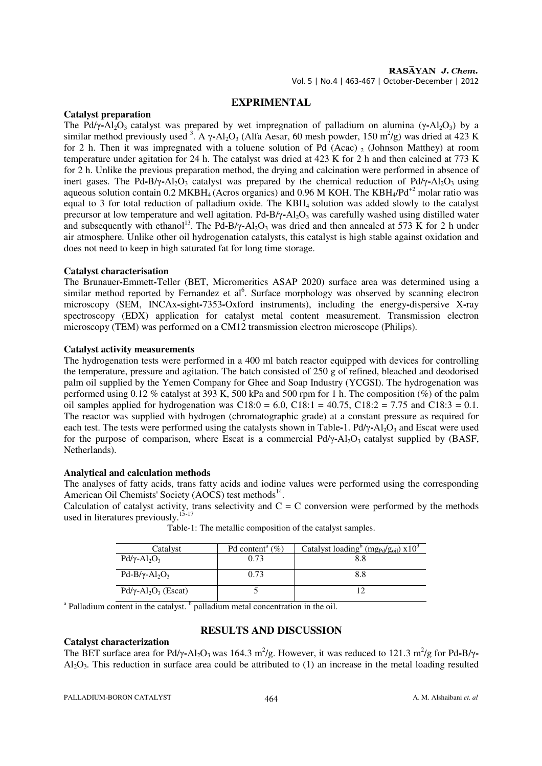### **EXPRIMENTAL**

### **Catalyst preparation**

The Pd/γ-Al<sub>2</sub>O<sub>3</sub> catalyst was prepared by wet impregnation of palladium on alumina (γ-Al<sub>2</sub>O<sub>3</sub>) by a similar method previously used <sup>3</sup>. A  $\gamma$ -Al<sub>2</sub>O<sub>3</sub> (Alfa Aesar, 60 mesh powder, 150 m<sup>2</sup>/g) was dried at 423 K for 2 h. Then it was impregnated with a toluene solution of Pd (Acac)  $\sigma$  (Johnson Matthey) at room temperature under agitation for 24 h. The catalyst was dried at 423 K for 2 h and then calcined at 773 K for 2 h. Unlike the previous preparation method, the drying and calcination were performed in absence of inert gases. The Pd-B/y-Al<sub>2</sub>O<sub>3</sub> catalyst was prepared by the chemical reduction of Pd/y-Al<sub>2</sub>O<sub>3</sub> using aqueous solution contain 0.2 MKBH<sub>4</sub> (Acros organics) and 0.96 M KOH. The KBH<sub>4</sub>/Pd<sup>+2</sup> molar ratio was equal to 3 for total reduction of palladium oxide. The KBH4 solution was added slowly to the catalyst precursor at low temperature and well agitation. Pd**-**B/γ**-**Al2O3 was carefully washed using distilled water and subsequently with ethanol<sup>13</sup>. The Pd-B/ $\gamma$ -Al<sub>2</sub>O<sub>3</sub> was dried and then annealed at 573 K for 2 h under air atmosphere. Unlike other oil hydrogenation catalysts, this catalyst is high stable against oxidation and does not need to keep in high saturated fat for long time storage.

### **Catalyst characterisation**

The Brunauer**-**Emmett**-**Teller (BET, Micromeritics ASAP 2020) surface area was determined using a similar method reported by Fernandez et al<sup>6</sup>. Surface morphology was observed by scanning electron microscopy (SEM, INCAx**-**sight**-**7353**-**Oxford instruments), including the energy**-**dispersive X**-**ray spectroscopy (EDX) application for catalyst metal content measurement. Transmission electron microscopy (TEM) was performed on a CM12 transmission electron microscope (Philips).

### **Catalyst activity measurements**

The hydrogenation tests were performed in a 400 ml batch reactor equipped with devices for controlling the temperature, pressure and agitation. The batch consisted of 250 g of refined, bleached and deodorised palm oil supplied by the Yemen Company for Ghee and Soap Industry (YCGSI). The hydrogenation was performed using 0.12 % catalyst at 393 K, 500 kPa and 500 rpm for 1 h. The composition (%) of the palm oil samples applied for hydrogenation was  $C18:0 = 6.0$ ,  $C18:1 = 40.75$ ,  $C18:2 = 7.75$  and  $C18:3 = 0.1$ . The reactor was supplied with hydrogen (chromatographic grade) at a constant pressure as required for each test. The tests were performed using the catalysts shown in Table-1. Pd/γ-Al<sub>2</sub>O<sub>3</sub> and Escat were used for the purpose of comparison, where Escat is a commercial Pd/γ-Al<sub>2</sub>O<sub>3</sub> catalyst supplied by (BASF, Netherlands).

### **Analytical and calculation methods**

The analyses of fatty acids, trans fatty acids and iodine values were performed using the corresponding American Oil Chemists' Society (AOCS) test methods $^{14}$ .

Calculation of catalyst activity, trans selectivity and  $C = C$  conversion were performed by the methods used in literatures previously.<sup>15-17</sup>

| Catalyst                                            | Pd content <sup>a</sup> $(\%)$ | Catalyst loading <sup>b</sup> (mg <sub>Pd</sub> /g <sub>oil</sub> ) $x10^3$ |
|-----------------------------------------------------|--------------------------------|-----------------------------------------------------------------------------|
| $Pd/\gamma$ -Al <sub>2</sub> O <sub>3</sub>         | 0.73                           | 8.8                                                                         |
| $Pd-B/\gamma - Al_2O_3$                             | 0.73                           | 8.8                                                                         |
| $Pd/\gamma$ -Al <sub>2</sub> O <sub>3</sub> (Escat) |                                |                                                                             |

Table-1: The metallic composition of the catalyst samples.

<sup>a</sup> Palladium content in the catalyst.<sup>b</sup> palladium metal concentration in the oil.

### **RESULTS AND DISCUSSION**

### **Catalyst characterization**

The BET surface area for Pd/γ-Al<sub>2</sub>O<sub>3</sub> was 164.3 m<sup>2</sup>/g. However, it was reduced to 121.3 m<sup>2</sup>/g for Pd-B/γ- $A<sub>1</sub>Q<sub>3</sub>$ . This reduction in surface area could be attributed to (1) an increase in the metal loading resulted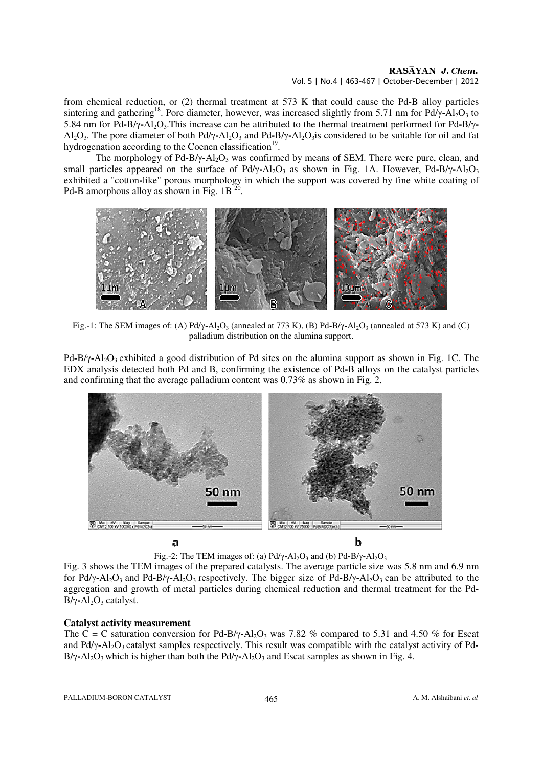#### RASAYAN J. Chem. Vol. 5 | No.4 | 463-467 | October-December | 2012

from chemical reduction, or (2) thermal treatment at 573 K that could cause the Pd**-**B alloy particles sintering and gathering<sup>18</sup>. Pore diameter, however, was increased slightly from 5.71 nm for Pd/γ-Al<sub>2</sub>O<sub>3</sub> to 5.84 nm for Pd**-**B/γ**-**Al2O3.This increase can be attributed to the thermal treatment performed for Pd**-**B/γ**-**Al2O3. The pore diameter of both Pd/γ**-**Al2O3 and Pd**-**B/γ**-**Al2O3is considered to be suitable for oil and fat hydrogenation according to the Coenen classification<sup>19</sup>.

The morphology of Pd-B/γ-Al<sub>2</sub>O<sub>3</sub> was confirmed by means of SEM. There were pure, clean, and small particles appeared on the surface of Pd/γ-Al<sub>2</sub>O<sub>3</sub> as shown in Fig. 1A. However, Pd-B/γ-Al<sub>2</sub>O<sub>3</sub> exhibited a "cotton**-**like" porous morphology in which the support was covered by fine white coating of Pd-B amorphous alloy as shown in Fig.  $1B^{20}$ .



Fig.-1: The SEM images of: (A) Pd/γ-Al<sub>2</sub>O<sub>3</sub> (annealed at 773 K), (B) Pd-B/γ-Al<sub>2</sub>O<sub>3</sub> (annealed at 573 K) and (C) palladium distribution on the alumina support.

Pd**-**B/γ**-**Al2O3 exhibited a good distribution of Pd sites on the alumina support as shown in Fig. 1C. The EDX analysis detected both Pd and B, confirming the existence of Pd**-**B alloys on the catalyst particles and confirming that the average palladium content was 0.73% as shown in Fig. 2.



Fig.-2: The TEM images of: (a)  $Pd/\gamma$ -Al<sub>2</sub>O<sub>3</sub> and (b)  $Pd-B/\gamma$ -Al<sub>2</sub>O<sub>3</sub>.

Fig. 3 shows the TEM images of the prepared catalysts. The average particle size was 5.8 nm and 6.9 nm for Pd/γ**-**Al2O3 and Pd**-**B/γ**-**Al2O3 respectively. The bigger size of Pd**-**B/γ**-**Al2O3 can be attributed to the aggregation and growth of metal particles during chemical reduction and thermal treatment for the Pd**-**B/γ-Al<sub>2</sub>O<sub>3</sub> catalyst.

### **Catalyst activity measurement**

The C = C saturation conversion for Pd-B/ $\gamma$ -Al<sub>2</sub>O<sub>3</sub> was 7.82 % compared to 5.31 and 4.50 % for Escat and Pd/γ-Al<sub>2</sub>O<sub>3</sub> catalyst samples respectively. This result was compatible with the catalyst activity of Pd-B/γ-Al<sub>2</sub>O<sub>3</sub> which is higher than both the Pd/γ-Al<sub>2</sub>O<sub>3</sub> and Escat samples as shown in Fig. 4.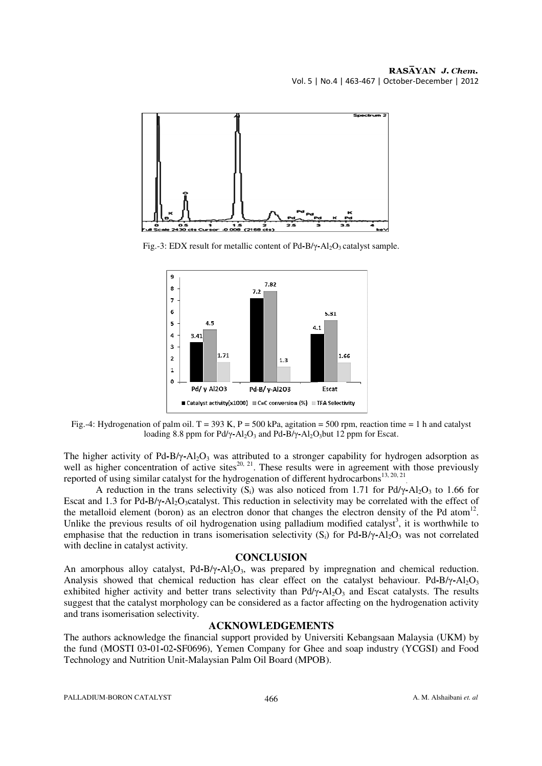

Fig.-3: EDX result for metallic content of Pd-B/γ-Al<sub>2</sub>O<sub>3</sub> catalyst sample.



Fig.-4: Hydrogenation of palm oil. T = 393 K, P = 500 kPa, agitation = 500 rpm, reaction time = 1 h and catalyst loading 8.8 ppm for Pd/γ-Al<sub>2</sub>O<sub>3</sub> and Pd-B/γ-Al<sub>2</sub>O<sub>3</sub>but 12 ppm for Escat.

The higher activity of Pd-B/γ-Al<sub>2</sub>O<sub>3</sub> was attributed to a stronger capability for hydrogen adsorption as well as higher concentration of active sites<sup>20, 21</sup>. These results were in agreement with those previously reported of using similar catalyst for the hydrogenation of different hydrocarbons<sup>13, 20, 21</sup> .

A reduction in the trans selectivity  $(S_i)$  was also noticed from 1.71 for Pd/ $\gamma$ -Al<sub>2</sub>O<sub>3</sub> to 1.66 for Escat and 1.3 for Pd-B/γ-Al<sub>2</sub>O<sub>3</sub>catalyst. This reduction in selectivity may be correlated with the effect of the metalloid element (boron) as an electron donor that changes the electron density of the Pd atom<sup>12</sup>. Unlike the previous results of oil hydrogenation using palladium modified catalyst<sup>3</sup>, it is worthwhile to emphasise that the reduction in trans isomerisation selectivity (S<sub>i</sub>) for Pd-B/γ-Al<sub>2</sub>O<sub>3</sub> was not correlated with decline in catalyst activity.

### **CONCLUSION**

An amorphous alloy catalyst, Pd**-**B/γ**-**Al2O3, was prepared by impregnation and chemical reduction. Analysis showed that chemical reduction has clear effect on the catalyst behaviour. Pd-B/γ-Al<sub>2</sub>O<sub>3</sub> exhibited higher activity and better trans selectivity than  $Pd/\gamma$ -Al<sub>2</sub>O<sub>3</sub> and Escat catalysts. The results suggest that the catalyst morphology can be considered as a factor affecting on the hydrogenation activity and trans isomerisation selectivity.

### **ACKNOWLEDGEMENTS**

The authors acknowledge the financial support provided by Universiti Kebangsaan Malaysia (UKM) by the fund (MOSTI 03**-**01**-**02**-**SF0696), Yemen Company for Ghee and soap industry (YCGSI) and Food Technology and Nutrition Unit-Malaysian Palm Oil Board (MPOB).